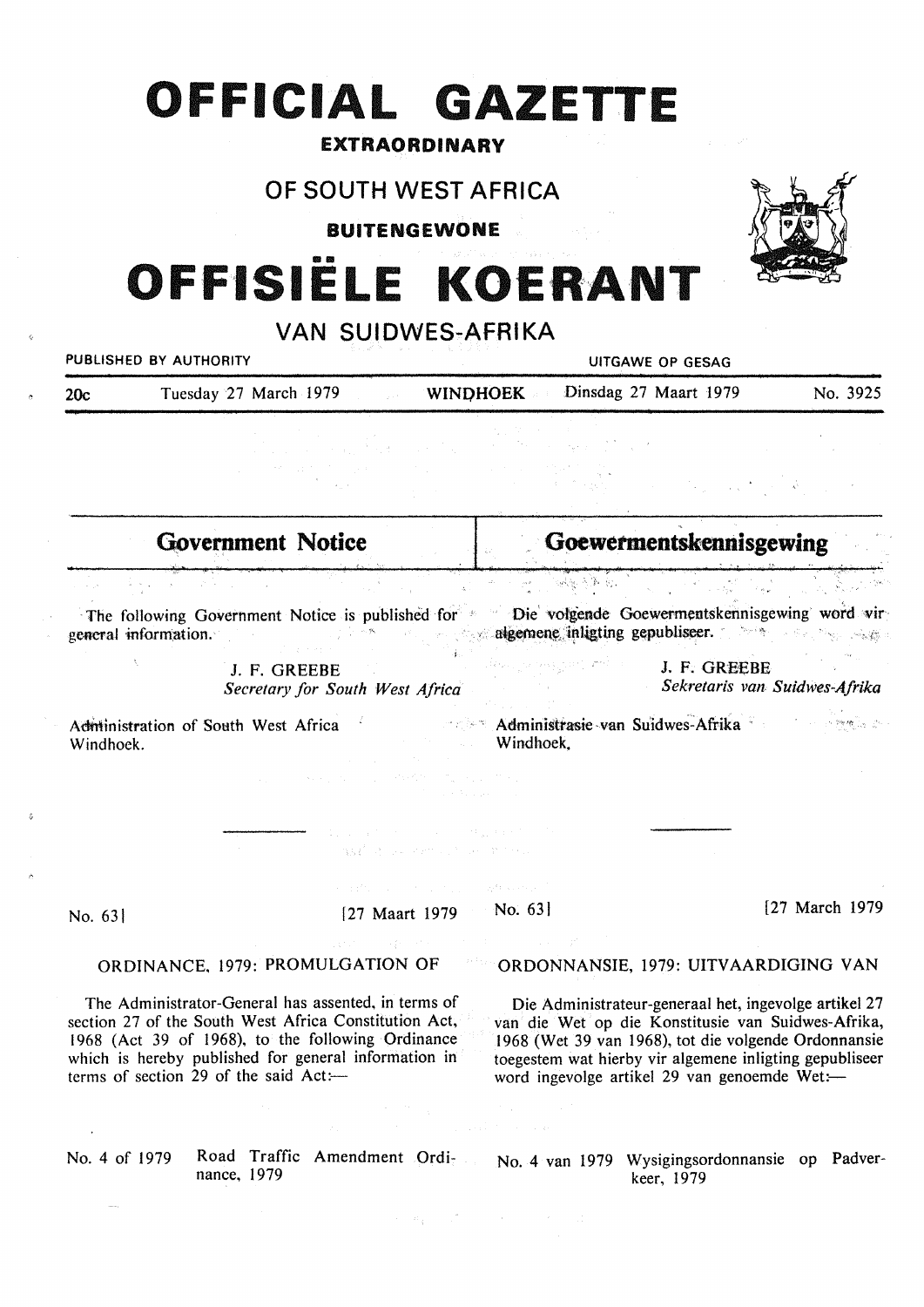# **OFFICIAL GAZETTE**

## EXTRAORDINARY

# OF SOUTH WEST AFRICA

**BUITENGEWONE** 

# **OFFISIËLE KOERANT**

| VAN SUIDWES-AFRIKA                                                                                                                                                                                                                                                 |                                                                           |                                               |                                                                                                                                                                                                                                                                                |                |
|--------------------------------------------------------------------------------------------------------------------------------------------------------------------------------------------------------------------------------------------------------------------|---------------------------------------------------------------------------|-----------------------------------------------|--------------------------------------------------------------------------------------------------------------------------------------------------------------------------------------------------------------------------------------------------------------------------------|----------------|
| <b>PUBLISHED BY AUTHORITY</b>                                                                                                                                                                                                                                      |                                                                           | UITGAWE OP GESAG                              |                                                                                                                                                                                                                                                                                |                |
| Tuesday 27 March 1979<br>20c                                                                                                                                                                                                                                       | <b>County</b> County                                                      | <b>WINDHOEK</b>                               | Dinsdag 27 Maart 1979                                                                                                                                                                                                                                                          | No. 3925       |
|                                                                                                                                                                                                                                                                    |                                                                           |                                               |                                                                                                                                                                                                                                                                                |                |
|                                                                                                                                                                                                                                                                    |                                                                           |                                               |                                                                                                                                                                                                                                                                                |                |
| <b>Government Notice</b>                                                                                                                                                                                                                                           |                                                                           | Goewermentskennisgewing                       |                                                                                                                                                                                                                                                                                |                |
|                                                                                                                                                                                                                                                                    |                                                                           |                                               |                                                                                                                                                                                                                                                                                |                |
| The following Government Notice is published for *<br>general information.                                                                                                                                                                                         |                                                                           |                                               | Die volgende Goewermentskennisgewing word vir<br>algemene inligting gepubliseer.                                                                                                                                                                                               |                |
| J. F. GREEBE<br>Secretary for South West Africa                                                                                                                                                                                                                    |                                                                           |                                               | J. F. GREEBE<br>Sekretaris van Suidwes-Afrika                                                                                                                                                                                                                                  |                |
| Administration of South West Africa<br>Windhoek.                                                                                                                                                                                                                   |                                                                           | Administrasie van Suidwes-Afrika<br>Windhoek. |                                                                                                                                                                                                                                                                                |                |
|                                                                                                                                                                                                                                                                    | service and control of the service<br>may find the common three motivals. |                                               |                                                                                                                                                                                                                                                                                |                |
|                                                                                                                                                                                                                                                                    |                                                                           | With a compo-                                 |                                                                                                                                                                                                                                                                                |                |
| No. 63                                                                                                                                                                                                                                                             | [27 Maart 1979]                                                           | No. $63$                                      |                                                                                                                                                                                                                                                                                | [27 March 1979 |
| ORDINANCE, 1979: PROMULGATION OF                                                                                                                                                                                                                                   |                                                                           |                                               | ORDONNANSIE, 1979: UITVAARDIGING VAN                                                                                                                                                                                                                                           |                |
| The Administrator-General has assented, in terms of<br>section 27 of the South West Africa Constitution Act,<br>1968 (Act 39 of 1968), to the following Ordinance<br>which is hereby published for general information in<br>terms of section 29 of the said Act:- |                                                                           |                                               | Die Administrateur-generaal het, ingevolge artikel 27<br>van die Wet op die Konstitusie van Suidwes-Afrika,<br>1968 (Wet 39 van 1968), tot die volgende Ordonnansie<br>toegestem wat hierby vir algemene inligting gepubliseer<br>word ingevolge artikel 29 van genoemde Wet:- |                |

 $\label{eq:2.1} \mathcal{A}=\mathcal{B}_{\frac{1}{2}}\left(\mathcal{A}^{\frac{1}{2}}\right)^{-1}\mathcal{A}^{\frac{1}{2}}\left(\mathcal{A}^{\frac{1}{2}}\right)^{-1}\mathcal{A}^{\frac{1}{2}}\left(\mathcal{A}^{\frac{1}{2}}\right)^{-1}\mathcal{A}^{\frac{1}{2}}\left(\mathcal{A}^{\frac{1}{2}}\right)^{-1}\mathcal{A}^{\frac{1}{2}}\left(\mathcal{A}^{\frac{1}{2}}\right)^{-1}\mathcal{A}^{\frac{1}{2}}\left(\mathcal{A}^{\frac{1}{2}}\$ 

 $\bar{\omega}_{\rm{max}}$ 

 $\sim 10^{-1}$ 

s.

nance, 1979

No. 4 of 1979 Road Traffic Amendment Ordi- No. 4 van 1979 Wysigingsordonnansie op Padverkeer, 1979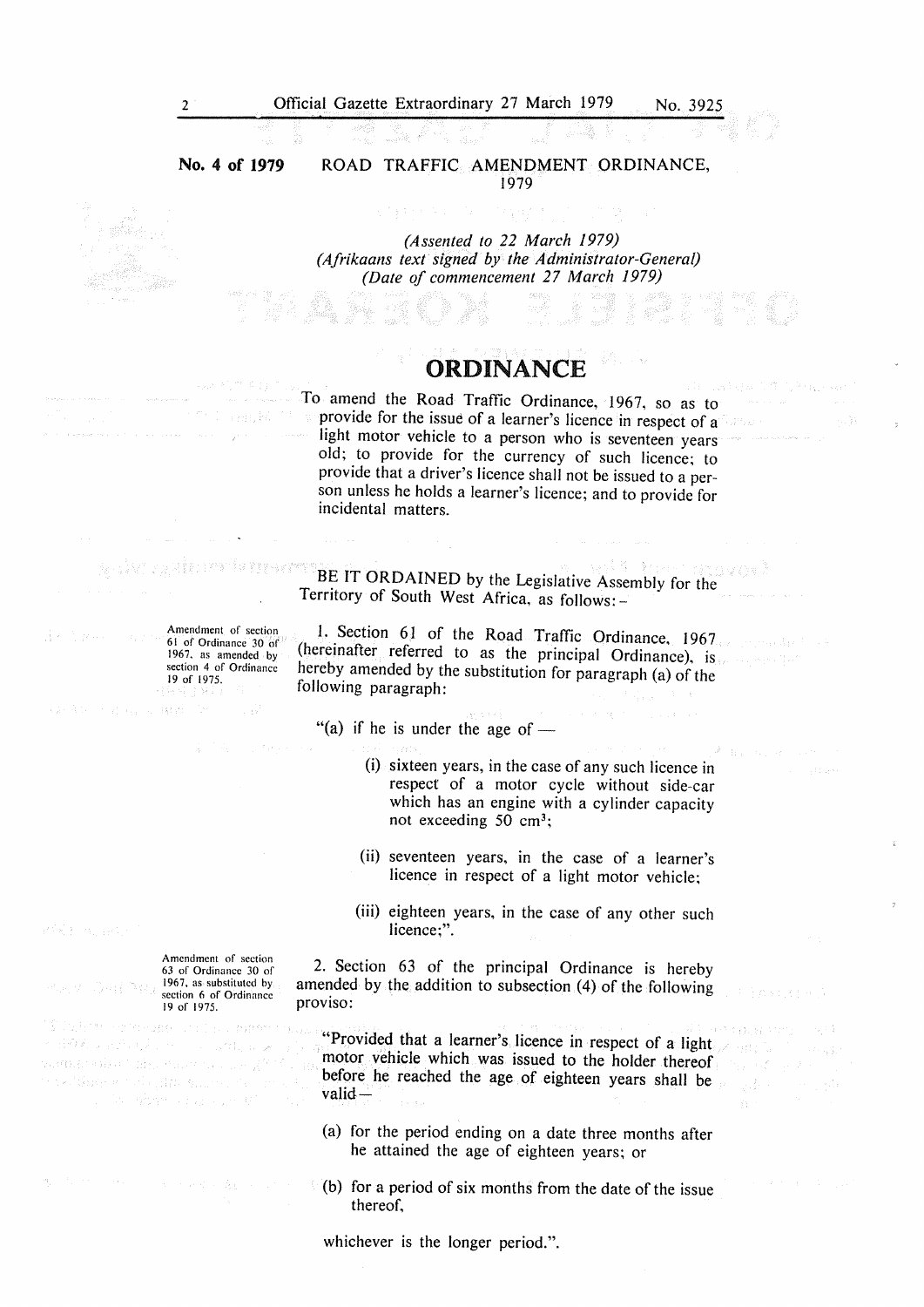**No. 4 of 1979**  ROAD TRAFFIC AMENDMENT ORDINANCE, 1979

> *(Assented to 22 March 1979) (Afrikaans text signed by the Administrator-General) (Date of commencement 27 March 1979)*

经管理

## ORDINANCE

To amend the Road Traffic Ordinance, 1967, so as to provide for the issue of a learner's licence in respect of  $a^{\dagger}$ light motor vehicle to a person who is seventeen years old; to provide for the currency of such licence; to provide that a driver's licence shall not be issued to a person unless he holds a learner's licence; and to provide for incidental matters.

BE IT ORDAINED by the Legislative Assembly for the y w stêd watcher it en internet met Territory of South West Africa, as follows: -

> 1. Section 61 of the Road Traffic Ordinance, 1967. (hereinafter referred to as the principal Ordinance), is hereby amended by the substitution for paragraph (a) of the following paragraph:

"(a) if he is under the age of  $-$ 

- (i) sixteen years, in the case of any such licence in respect of a motor cycle without side-car which has an engine with a cylinder capacity not exceeding 50 cm3;
- (ii) seventeen years, in the case of a learner's licence in respect of a light motor vehicle;
- (iii) eighteen years, in the case of any other such licence:"

2. Section 63 of the principal Ordinance is hereby amended by the addition to subsection (4) of the following proviso:

"Provided that a learner's licence in respect of a light motor vehicle which was issued to the holder thereof before he reached the age of eighteen years shall be valid-

经产品费 医细胞

- (a) for the period ending on a date three months after he attained the age of eighteen years; or
- (b) for a period of six months from the date of the issue thereof,

whichever is the longer period.".

an Samuel Carlo

Amendment of section 63 of Ordinance 30 of 1967. as substituted by sa 70. section 6 of Ordinance 19 of 1975.

 $\langle \langle \vec{r} \vec{r} \rangle \vec{x}_1 \rangle_{\rm 0}$  ,  $\langle \vec{r}_1 \vec{r}_2 \rangle_{\rm 0}$  ,  $\langle \vec{r}_2 \rangle$ wang siya taliku wasan da duk n and de la marina de la 1999.<br>Se l'États possible par Bauron.

Werner Carlos and

61 of Ordinance 30 of 1967, as amended by section 4 of Ordinance 19 of 1975.

mission and

Amendment of section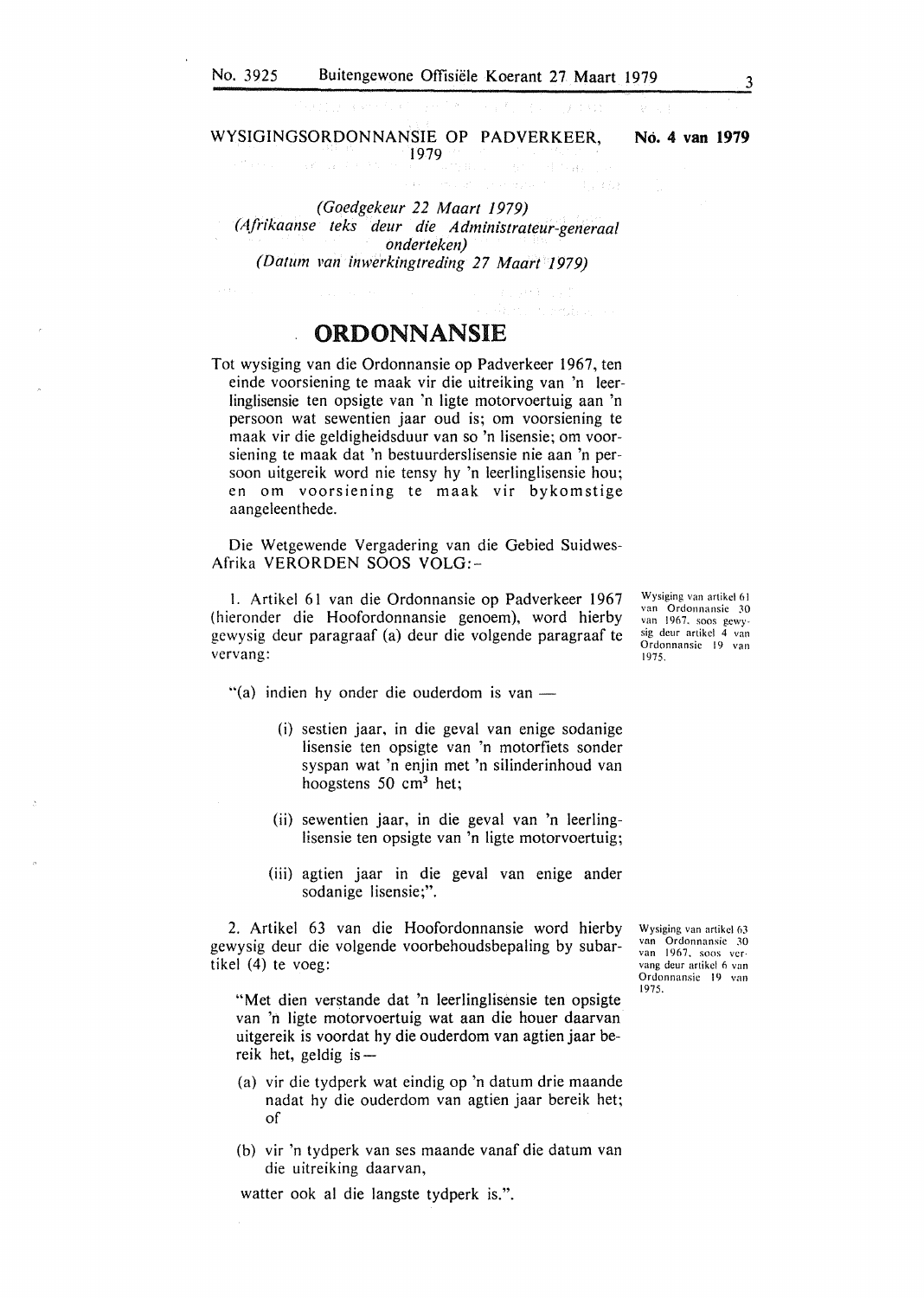### WYSIGINGSORDONNANSIE OP PADVERKEER, 1979 **No. 4 van 1979**

*(Goedgekeur 22 Maart 1979) (Afrikaanse teks deur die Administrateur-generaal onderteken) (Datum 11an inwerkingtreding 27 Maart 1979)* 

ORDONNANSIE

Tot wysiging van die Ordonnansie op Padverkeer 1967, ten einde voorsiening te maak vir die uitreiking van 'n leerlinglisensie ten opsigte van 'n ligte motorvoertuig aan 'n persoon wat sewentien jaar oud is; om voorsiening te maak vir die geldigheidsduur van so 'n lisensie; om voorsiening te maak dat 'n bestuurderslisensie nie aan 'n persoon uitgereik word nie tensy hy 'n leerlinglisensie hou; en om voorsiening te maak vir bykomstige aangeleenthede.

Die Wetgewende Vergadering van die Gebied Suidwes-Afrika VERORDEN SOOS VOLG:-

1. Artikel 61 van die Ordonnansie op Padverkeer 1967 (hieronder die Hoofordonnansie genoem), word hierby gewysig deur paragraaf (a) deur die volgende paragraaf te vervang:

"(a) indien hy onder die ouderdom is van  $-$ 

- (i) sestien jaar, in die geval van enige sodanige lisensie ten opsigte van 'n motorfiets sonder syspan wat 'n enjin met 'n silinderinhoud van hoogstens 50 cm3 het;
- (ii) sewentien jaar, in die geval van 'n leerlinglisensie ten opsigte van 'n ligte motorvoertuig;
- (iii) agtien jaar in die geval van enige ander sodanige Iisensie;".

2. Artikel 63 van die Hoofordonnansie word hierby gewysig deur die volgende voorbehoudsbepaling by subartikel (4) te voeg:

"Met dien verstande dat 'n leerlinglisensie ten opsigte van 'n ligte motorvoertuig wat aan die houer daarvan uitgereik is voordat hy die ouderdom van agtien jaar bereik het, geldig is  $-$ 

- (a) vir die tydperk wat eindig op 'n datum drie maande nadat hy die ouderdom van agtien jaar bereik het; of
- (b) vir 'n tydperk van ses maande vanaf die datum van die uitreiking daarvan,

watter ook al die langste tydperk is.".

Wysiging van artikel 63<br>van Ordonnansie 30 Ordonnansie 30 van 1967, soos vervang dcur artikcl 6 van Ordonnansic 19 van 1975.

Wysiging van artikcl 61 van Ordonnansic 30 van 1967. soos gcwysig deur artikel 4 van Ordonnansic 19 van 1975.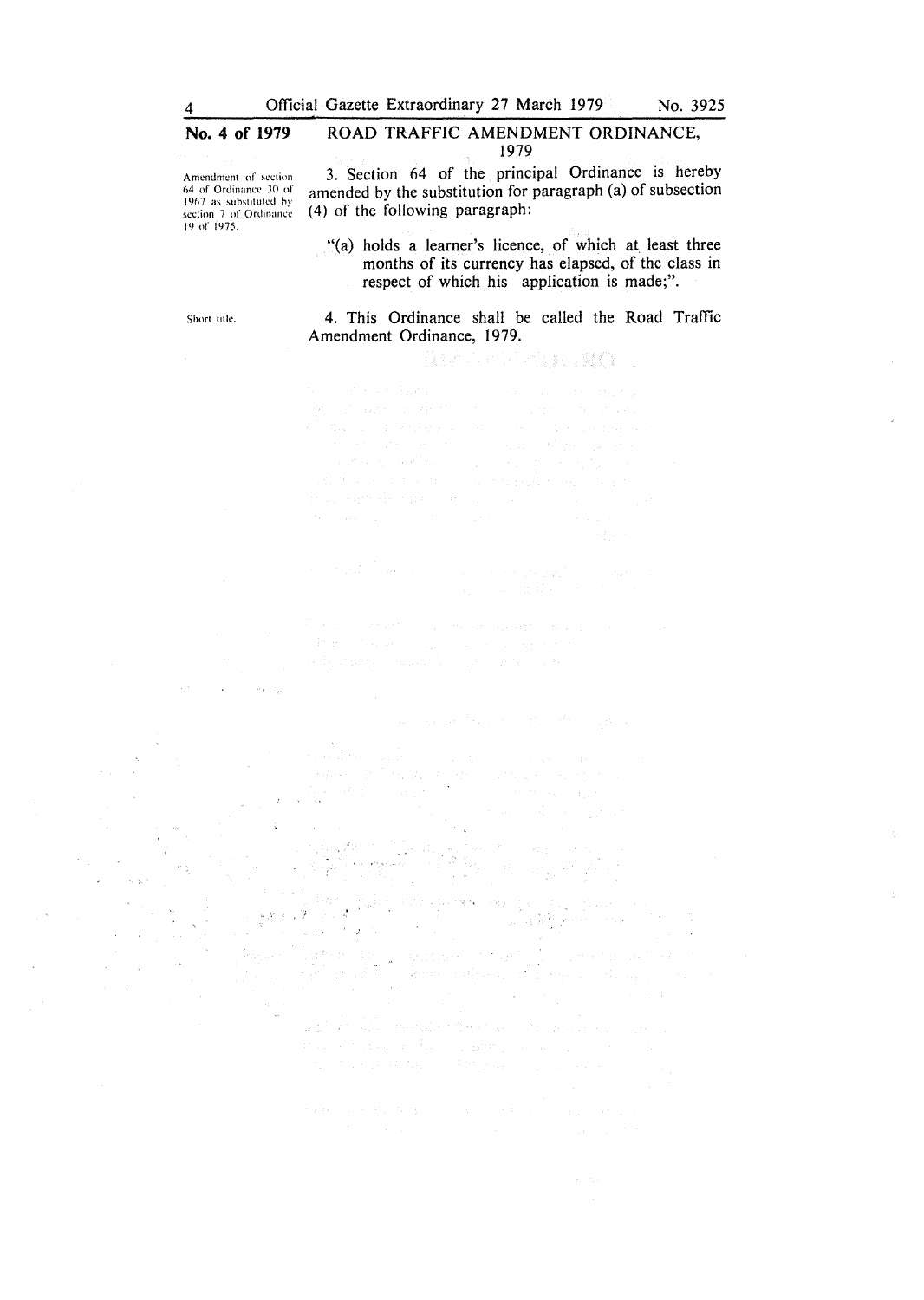## No. 4 of 1979 ROAD TRAFFIC AMENDMENT ORDINANCE, 1979

Amendment of section 64 of Ordinance 30 of 1967 as substituted hy **section 7 of Ordinancl'**  19 of 1'175.

3. Section 64 of the principal Ordinance is hereby amended by the substitution for paragraph (a) of subsection (4) of the following paragraph:

"(a) holds a learner's licence, of which at least three months of its currency has elapsed, of the class in respect of which his application is made;".

Short title.

## 4. This Ordinance shall be called the Road Traffic Amendment Ordinance, 1979.

我是不是不是他的事,只是做了。 State Street  $\zeta_{\rm{max}}$  is  $\zeta_{\rm{max}}$ 数据 医三氯化物 经

iji s  $\epsilon_{\rm{max}}$ منوات المناب South 1  $\psi(\tau)$  produce  $\mathcal{V}_\text{in}$ 

man sa mga bangayo ng pangangang pang